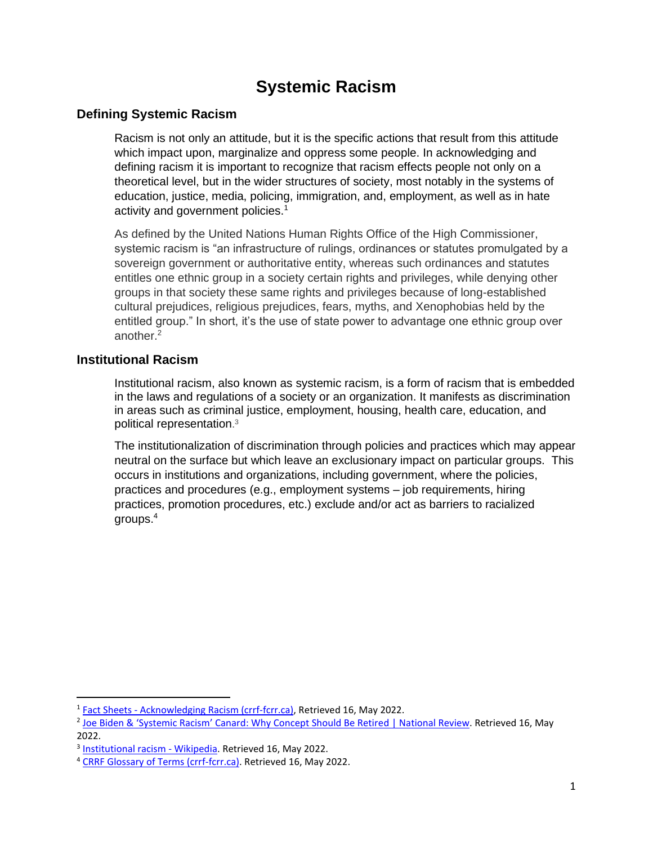# **Systemic Racism**

# **Defining Systemic Racism**

Racism is not only an attitude, but it is the specific actions that result from this attitude which impact upon, marginalize and oppress some people. In acknowledging and defining racism it is important to recognize that racism effects people not only on a theoretical level, but in the wider structures of society, most notably in the systems of education, justice, media, policing, immigration, and, employment, as well as in hate activity and government policies.<sup>1</sup>

As defined by the United Nations Human Rights Office of the High Commissioner, systemic racism is "an infrastructure of rulings, ordinances or statutes promulgated by a sovereign government or authoritative entity, whereas such ordinances and statutes entitles one ethnic group in a society certain rights and privileges, while denying other groups in that society these same rights and privileges because of long-established cultural prejudices, religious prejudices, fears, myths, and Xenophobias held by the entitled group." In short, it's the use of state power to advantage one ethnic group over another.<sup>2</sup>

# **Institutional Racism**

Institutional racism, also known as systemic racism, is a form of racism that is embedded in the laws and regulations of a society or an organization. It manifests as discrimination in areas such as criminal justice, employment, housing, health care, education, and political representation. 3

The institutionalization of discrimination through policies and practices which may appear neutral on the surface but which leave an exclusionary impact on particular groups. This occurs in institutions and organizations, including government, where the policies, practices and procedures (e.g., employment systems – job requirements, hiring practices, promotion procedures, etc.) exclude and/or act as barriers to racialized groups.<sup>4</sup>

<sup>&</sup>lt;sup>1</sup> Fact Sheets - [Acknowledging Racism \(crrf-fcrr.ca\),](https://www.crrf-fcrr.ca/en/component/flexicontent/item/23488-acknowledging-racism) Retrieved 16, May 2022.

<sup>&</sup>lt;sup>2</sup> [Joe Biden & 'Systemic Racism' Canard: Why Concept Should Be Retire](https://www.nationalreview.com/2021/01/the-problem-with-systemic-racism/)d | National Review. Retrieved 16, May 2022.

<sup>&</sup>lt;sup>3</sup> [Institutional racism -](https://en.wikipedia.org/wiki/Institutional_racism) Wikipedia. Retrieved 16, May 2022.

<sup>4</sup> [CRRF Glossary of Terms \(crrf-fcrr.ca\).](https://www.crrf-fcrr.ca/en/resources/glossary-a-terms-en-gb-1?letter=s&cc=p) Retrieved 16, May 2022.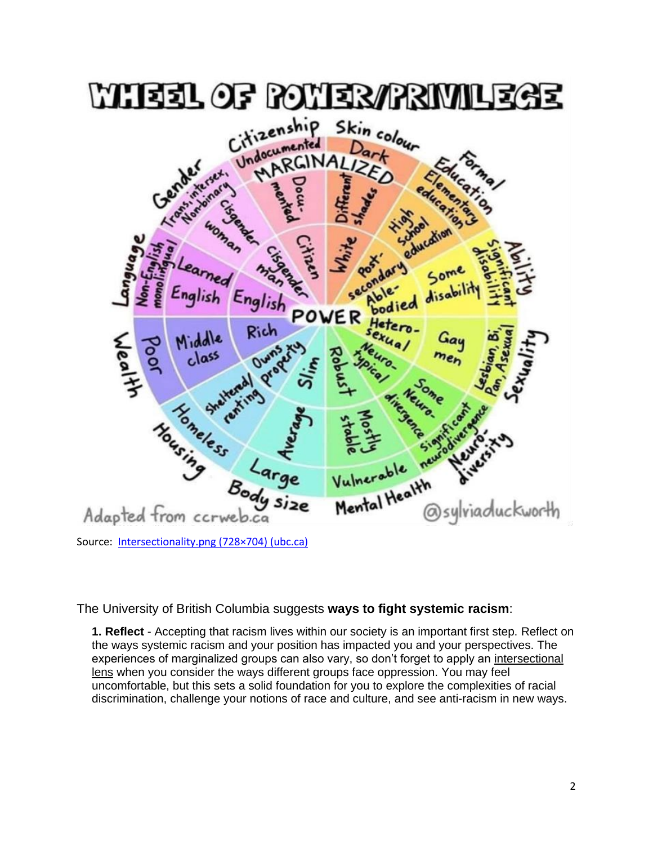

Source: [Intersectionality.png \(728×704\) \(ubc.ca\)](https://vpfinance-dev.sites.olt.ubc.ca/files/2021/03/Intersectionality.png)

The University of British Columbia suggests **ways to fight systemic racism**:

**1. Reflect** - Accepting that racism lives within our society is an important first step. Reflect on the ways systemic racism and your position has impacted you and your perspectives. The experiences of marginalized groups can also vary, so don't forget to apply an [intersectional](https://vpfo.ubc.ca/2021/03/intersectionality-what-is-it-and-why-it-matters/)  [lens](https://vpfo.ubc.ca/2021/03/intersectionality-what-is-it-and-why-it-matters/) when you consider the ways different groups face oppression. You may feel uncomfortable, but this sets a solid foundation for you to explore the complexities of racial discrimination, challenge your notions of race and culture, and see anti-racism in new ways.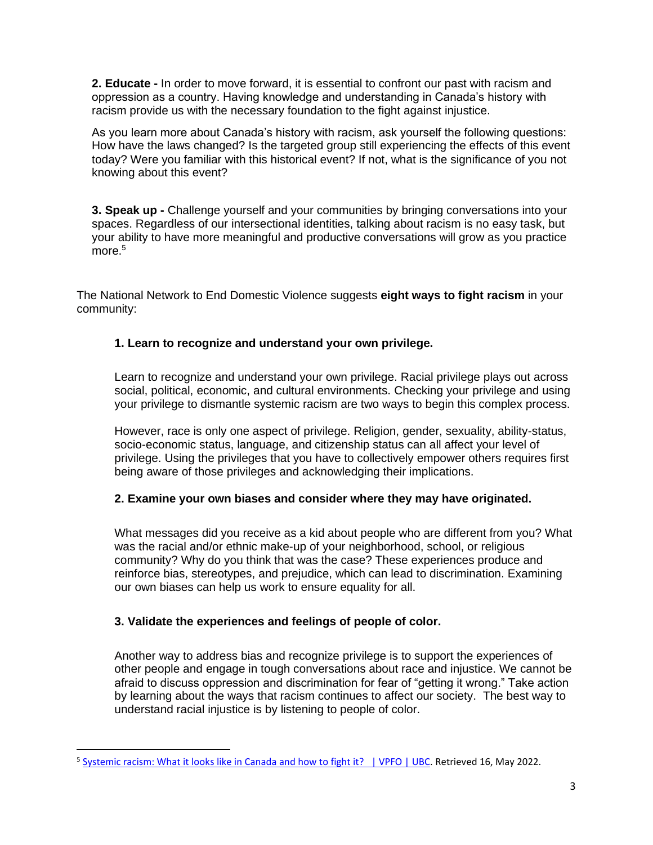**2. Educate -** In order to move forward, it is essential to confront our past with racism and oppression as a country. Having knowledge and understanding in Canada's history with racism provide us with the necessary foundation to the fight against injustice.

As you learn more about Canada's history with racism, ask yourself the following questions: How have the laws changed? Is the targeted group still experiencing the effects of this event today? Were you familiar with this historical event? If not, what is the significance of you not knowing about this event?

**3. Speak up -** Challenge yourself and your communities by bringing conversations into your spaces. Regardless of our intersectional identities, talking about racism is no easy task, but your ability to have more meaningful and productive conversations will grow as you practice more.<sup>5</sup>

The National Network to End Domestic Violence suggests **eight ways to fight racism** in your community:

## **1. Learn to recognize and understand your own privilege.**

Learn to recognize and understand your own privilege. Racial privilege plays out across social, political, economic, and cultural environments. Checking your privilege and using your privilege to dismantle systemic racism are two ways to begin this complex process.

However, race is only one aspect of privilege. Religion, gender, sexuality, ability-status, socio-economic status, language, and citizenship status can all affect your level of privilege. Using the privileges that you have to collectively empower others requires first being aware of those privileges and acknowledging their implications.

### **2. Examine your own biases and consider where they may have originated.**

What messages did you receive as a kid about people who are different from you? What was the racial and/or ethnic make-up of your neighborhood, school, or religious community? Why do you think that was the case? These experiences produce and reinforce bias, stereotypes, and prejudice, which can lead to discrimination. Examining our own biases can help us work to ensure equality for all.

# **3. Validate the experiences and feelings of people of color.**

Another way to address bias and recognize privilege is to support the experiences of other people and engage in tough conversations about race and injustice. We cannot be afraid to discuss oppression and discrimination for fear of "getting it wrong." Take action by learning about the ways that racism continues to affect our society. The best way to understand racial injustice is by listening to people of color.

<sup>&</sup>lt;sup>5</sup> Systemic [racism: What it looks like in Canada and how to fight it? | VPFO | UBC.](https://vpfo.ubc.ca/2021/03/systemic-racism-what-it-looks-like-in-canada-and-how-to-fight-it/) Retrieved 16, May 2022.